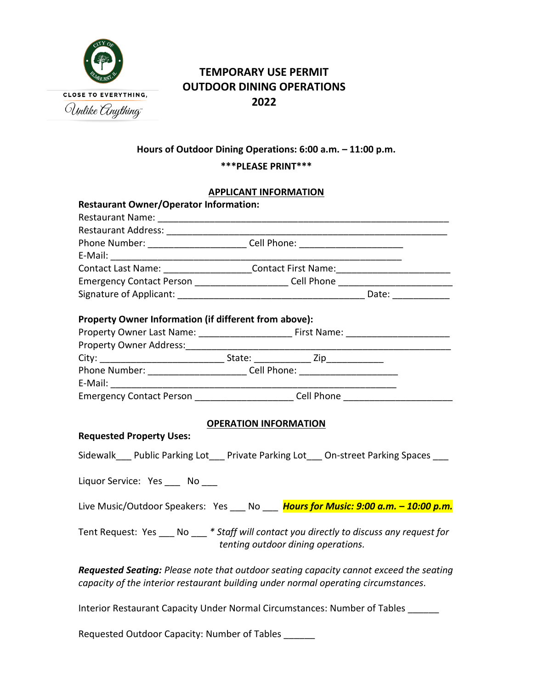

# **TEMPORARY USE PERMIT OUTDOOR DINING OPERATIONS 2022**

### **Hours of Outdoor Dining Operations: 6:00 a.m. – 11:00 p.m.**

### **\*\*\*PLEASE PRINT\*\*\***

#### **APPLICANT INFORMATION**

| <b>Restaurant Owner/Operator Information:</b>                                      |                                                                                           |  |  |
|------------------------------------------------------------------------------------|-------------------------------------------------------------------------------------------|--|--|
|                                                                                    |                                                                                           |  |  |
|                                                                                    |                                                                                           |  |  |
| Phone Number: _______________________________Cell Phone: _______________________   |                                                                                           |  |  |
|                                                                                    |                                                                                           |  |  |
|                                                                                    | Contact Last Name: _____________________Contact First Name: ____________________          |  |  |
|                                                                                    | Emergency Contact Person _______________________Cell Phone _____________________          |  |  |
|                                                                                    |                                                                                           |  |  |
|                                                                                    |                                                                                           |  |  |
| Property Owner Information (if different from above):                              |                                                                                           |  |  |
|                                                                                    |                                                                                           |  |  |
| Property Owner Address:________                                                    |                                                                                           |  |  |
|                                                                                    |                                                                                           |  |  |
|                                                                                    | Phone Number: _____________________________Cell Phone: _________________________          |  |  |
|                                                                                    |                                                                                           |  |  |
|                                                                                    | Emergency Contact Person _______________________Cell Phone _____________________          |  |  |
|                                                                                    |                                                                                           |  |  |
| <b>OPERATION INFORMATION</b>                                                       |                                                                                           |  |  |
| <b>Requested Property Uses:</b>                                                    |                                                                                           |  |  |
| Sidewalk Public Parking Lot___ Private Parking Lot___ On-street Parking Spaces ___ |                                                                                           |  |  |
|                                                                                    |                                                                                           |  |  |
| Liquor Service: Yes ____ No ___                                                    |                                                                                           |  |  |
|                                                                                    |                                                                                           |  |  |
|                                                                                    | Live Music/Outdoor Speakers: Yes ___ No ___ Hours for Music: 9:00 a.m. - 10:00 p.m.       |  |  |
|                                                                                    |                                                                                           |  |  |
|                                                                                    | Tent Request: Yes ___ No ___ * Staff will contact you directly to discuss any request for |  |  |
| tenting outdoor dining operations.                                                 |                                                                                           |  |  |
|                                                                                    |                                                                                           |  |  |
|                                                                                    | Requested Seating: Please note that outdoor seating capacity cannot exceed the seating    |  |  |
| capacity of the interior restaurant building under normal operating circumstances. |                                                                                           |  |  |
|                                                                                    |                                                                                           |  |  |
| Interior Restaurant Capacity Under Normal Circumstances: Number of Tables          |                                                                                           |  |  |

Requested Outdoor Capacity: Number of Tables \_\_\_\_\_\_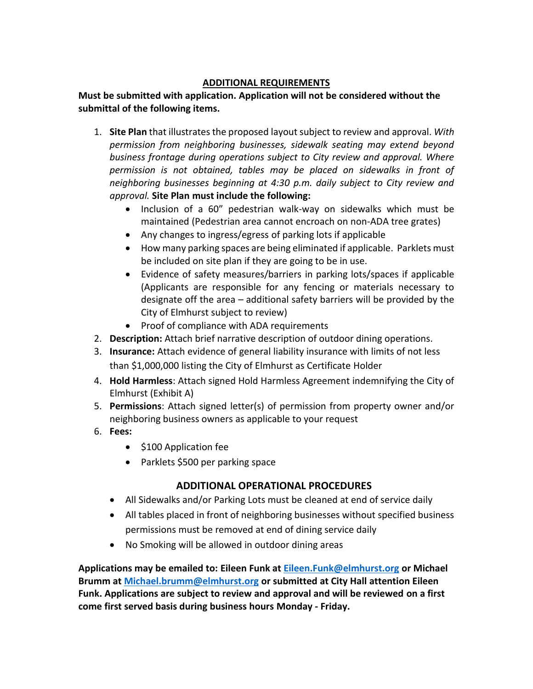### **ADDITIONAL REQUIREMENTS**

#### **Must be submitted with application. Application will not be considered without the submittal of the following items.**

- 1. **Site Plan** that illustrates the proposed layout subject to review and approval. *With permission from neighboring businesses, sidewalk seating may extend beyond business frontage during operations subject to City review and approval. Where permission is not obtained, tables may be placed on sidewalks in front of neighboring businesses beginning at 4:30 p.m. daily subject to City review and approval.* **Site Plan must include the following:**
	- Inclusion of a 60" pedestrian walk-way on sidewalks which must be maintained (Pedestrian area cannot encroach on non-ADA tree grates)
	- Any changes to ingress/egress of parking lots if applicable
	- How many parking spaces are being eliminated if applicable. Parklets must be included on site plan if they are going to be in use.
	- Evidence of safety measures/barriers in parking lots/spaces if applicable (Applicants are responsible for any fencing or materials necessary to designate off the area – additional safety barriers will be provided by the City of Elmhurst subject to review)
	- Proof of compliance with ADA requirements
- 2. **Description:** Attach brief narrative description of outdoor dining operations.
- 3. **Insurance:** Attach evidence of general liability insurance with limits of not less than \$1,000,000 listing the City of Elmhurst as Certificate Holder
- 4. **Hold Harmless**: Attach signed Hold Harmless Agreement indemnifying the City of Elmhurst (Exhibit A)
- 5. **Permissions**: Attach signed letter(s) of permission from property owner and/or neighboring business owners as applicable to your request
- 6. **Fees:**
	- \$100 Application fee
	- Parklets \$500 per parking space

## **ADDITIONAL OPERATIONAL PROCEDURES**

- All Sidewalks and/or Parking Lots must be cleaned at end of service daily
- All tables placed in front of neighboring businesses without specified business permissions must be removed at end of dining service daily
- No Smoking will be allowed in outdoor dining areas

**Applications may be emailed to: Eileen Funk at [Eileen.Funk@elmhurst.org](mailto:Eileen.Funk@elmhurst.org) or Michael Brumm at [Michael.brumm@elmhurst.org](mailto:Michael.brumm@elmhurst.org) or submitted at City Hall attention Eileen Funk. Applications are subject to review and approval and will be reviewed on a first come first served basis during business hours Monday - Friday.**